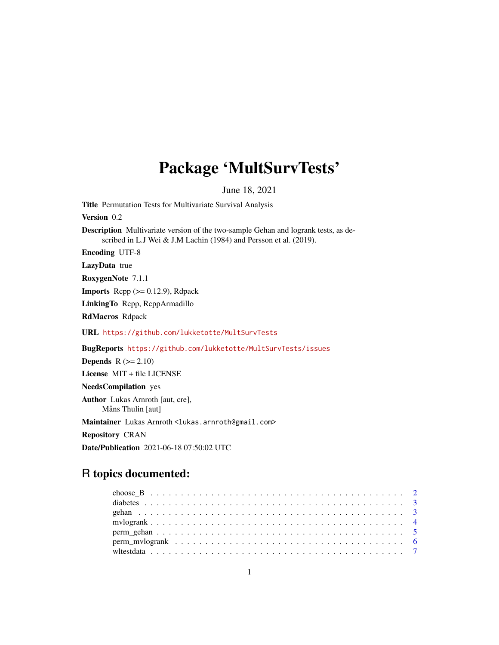# Package 'MultSurvTests'

June 18, 2021

Title Permutation Tests for Multivariate Survival Analysis Version 0.2 Description Multivariate version of the two-sample Gehan and logrank tests, as described in L.J Wei & J.M Lachin (1984) and Persson et al. (2019). Encoding UTF-8 LazyData true RoxygenNote 7.1.1 **Imports** Rcpp  $(>= 0.12.9)$ , Rdpack LinkingTo Rcpp, RcppArmadillo RdMacros Rdpack URL <https://github.com/lukketotte/MultSurvTests> BugReports <https://github.com/lukketotte/MultSurvTests/issues> **Depends**  $R$  ( $>= 2.10$ ) License MIT + file LICENSE NeedsCompilation yes Author Lukas Arnroth [aut, cre], Måns Thulin [aut] Maintainer Lukas Arnroth <lukas.arnroth@gmail.com> Repository CRAN Date/Publication 2021-06-18 07:50:02 UTC

# R topics documented: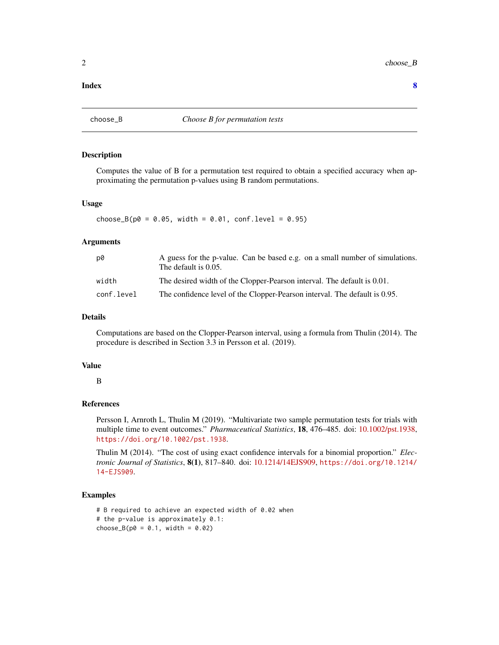#### <span id="page-1-0"></span>**Index** [8](#page-7-0) **8**

<span id="page-1-1"></span>

# Description

Computes the value of B for a permutation test required to obtain a specified accuracy when approximating the permutation p-values using B random permutations.

# Usage

 $choose_B(p0 = 0.05, width = 0.01, conf. level = 0.95)$ 

# Arguments

| p0         | A guess for the p-value. Can be based e.g. on a small number of simulations.<br>The default is 0.05. |
|------------|------------------------------------------------------------------------------------------------------|
| width      | The desired width of the Clopper-Pearson interval. The default is 0.01.                              |
| conf.level | The confidence level of the Clopper-Pearson interval. The default is 0.95.                           |

# Details

Computations are based on the Clopper-Pearson interval, using a formula from Thulin (2014). The procedure is described in Section 3.3 in Persson et al. (2019).

# Value

B

#### References

Persson I, Arnroth L, Thulin M (2019). "Multivariate two sample permutation tests for trials with multiple time to event outcomes." *Pharmaceutical Statistics*, 18, 476–485. doi: [10.1002/pst.1938,](https://doi.org/10.1002/pst.1938) <https://doi.org/10.1002/pst.1938>.

Thulin M (2014). "The cost of using exact confidence intervals for a binomial proportion." *Electronic Journal of Statistics*, 8(1), 817–840. doi: [10.1214/14EJS909,](https://doi.org/10.1214/14-EJS909) [https://doi.org/10.1214/](https://doi.org/10.1214/14-EJS909) [14-EJS909](https://doi.org/10.1214/14-EJS909).

# Examples

```
# B required to achieve an expected width of 0.02 when
# the p-value is approximately 0.1:
choose_B(p0 = 0.1, width = 0.02)
```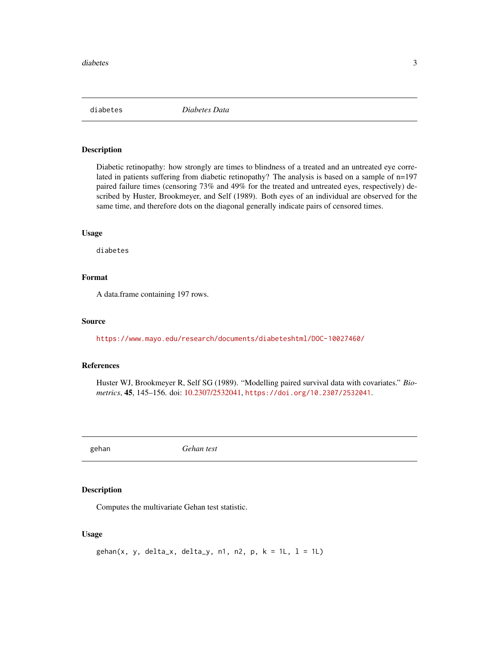<span id="page-2-0"></span>diabetes *Diabetes Data*

# Description

Diabetic retinopathy: how strongly are times to blindness of a treated and an untreated eye correlated in patients suffering from diabetic retinopathy? The analysis is based on a sample of n=197 paired failure times (censoring 73% and 49% for the treated and untreated eyes, respectively) described by Huster, Brookmeyer, and Self (1989). Both eyes of an individual are observed for the same time, and therefore dots on the diagonal generally indicate pairs of censored times.

# Usage

diabetes

# Format

A data.frame containing 197 rows.

# Source

<https://www.mayo.edu/research/documents/diabeteshtml/DOC-10027460/>

# References

Huster WJ, Brookmeyer R, Self SG (1989). "Modelling paired survival data with covariates." *Biometrics*, 45, 145–156. doi: [10.2307/2532041,](https://doi.org/10.2307/2532041) <https://doi.org/10.2307/2532041>.

gehan *Gehan test*

# Description

Computes the multivariate Gehan test statistic.

# Usage

```
gehan(x, y, delta_x, delta_y, n1, n2, p, k = 1L, l = 1L)
```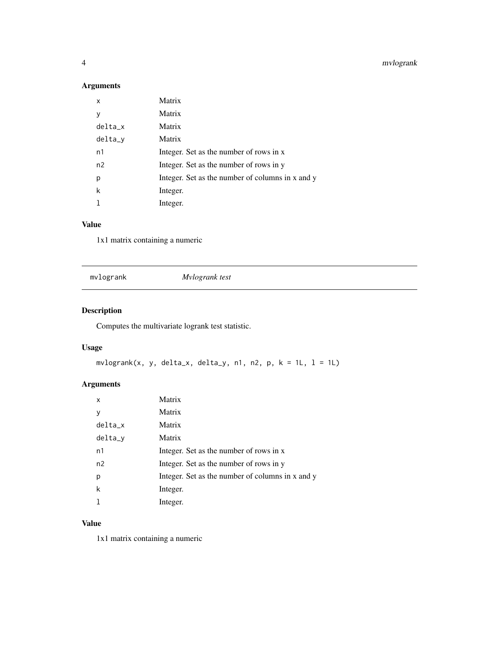# Arguments

| x              | Matrix                                           |
|----------------|--------------------------------------------------|
| у              | Matrix                                           |
| delta_x        | Matrix                                           |
| delta_y        | Matrix                                           |
| n1             | Integer. Set as the number of rows in x          |
| n <sub>2</sub> | Integer. Set as the number of rows in y          |
| р              | Integer. Set as the number of columns in x and y |
| k              | Integer.                                         |
|                | Integer.                                         |

# Value

1x1 matrix containing a numeric

mvlogrank *Mvlogrank test*

# Description

Computes the multivariate logrank test statistic.

# Usage

```
mvlogramk(x, y, delta_x, delta_y, n1, n2, p, k = 1L, 1 = 1L)
```
# Arguments

| x              | Matrix                                           |
|----------------|--------------------------------------------------|
| у              | Matrix                                           |
| $delta_x$      | Matrix                                           |
| delta_y        | Matrix                                           |
| n <sub>1</sub> | Integer. Set as the number of rows in x          |
| n <sub>2</sub> | Integer. Set as the number of rows in y          |
| р              | Integer. Set as the number of columns in x and y |
| k              | Integer.                                         |
|                | Integer.                                         |

# Value

1x1 matrix containing a numeric

<span id="page-3-0"></span>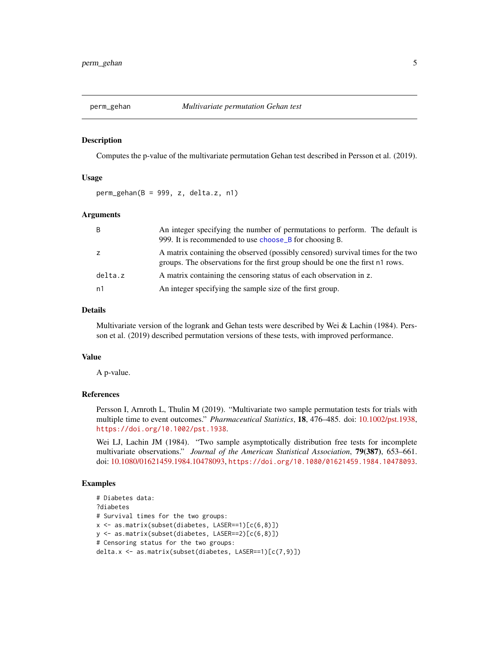<span id="page-4-0"></span>

# Description

Computes the p-value of the multivariate permutation Gehan test described in Persson et al. (2019).

# Usage

 $perm\_gehan(B = 999, z, delta.z, n1)$ 

# Arguments

| B       | An integer specifying the number of permutations to perform. The default is<br>999. It is recommended to use choose_B for choosing B.                            |
|---------|------------------------------------------------------------------------------------------------------------------------------------------------------------------|
|         | A matrix containing the observed (possibly censored) survival times for the two<br>groups. The observations for the first group should be one the first n1 rows. |
| delta.z | A matrix containing the censoring status of each observation in z.                                                                                               |
| n1      | An integer specifying the sample size of the first group.                                                                                                        |

# Details

Multivariate version of the logrank and Gehan tests were described by Wei & Lachin (1984). Persson et al. (2019) described permutation versions of these tests, with improved performance.

### Value

A p-value.

# References

Persson I, Arnroth L, Thulin M (2019). "Multivariate two sample permutation tests for trials with multiple time to event outcomes." *Pharmaceutical Statistics*, 18, 476–485. doi: [10.1002/pst.1938,](https://doi.org/10.1002/pst.1938) <https://doi.org/10.1002/pst.1938>.

Wei LJ, Lachin JM (1984). "Two sample asymptotically distribution free tests for incomplete multivariate observations." *Journal of the American Statistical Association*, 79(387), 653–661. doi: [10.1080/01621459.1984.10478093,](https://doi.org/10.1080/01621459.1984.10478093) <https://doi.org/10.1080/01621459.1984.10478093>.

# Examples

```
# Diabetes data:
?diabetes
# Survival times for the two groups:
x <- as.matrix(subset(diabetes, LASER==1)[c(6,8)])
y <- as.matrix(subset(diabetes, LASER==2)[c(6,8)])
# Censoring status for the two groups:
delta.x <- as.matrix(subset(diabetes, LASER==1)[c(7,9)])
```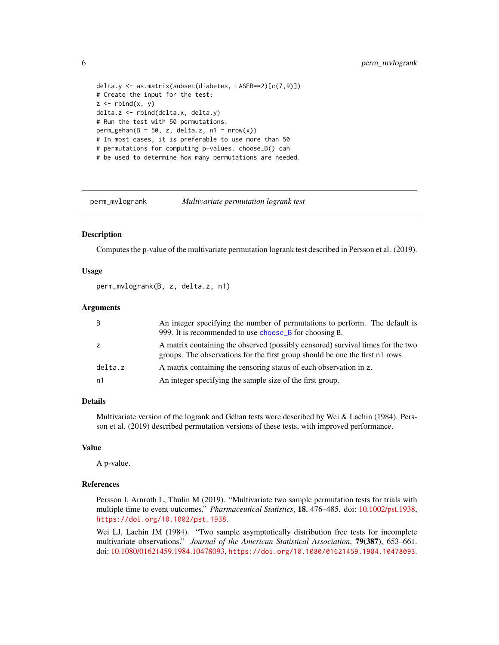```
delta.y <- as.matrix(subset(diabetes, LASER==2)[c(7,9)])
# Create the input for the test:
z \leftarrow rbind(x, y)delta.z <- rbind(delta.x, delta.y)
# Run the test with 50 permutations:
perm\_gehan(B = 50, z, delta.z, n1 = nrow(x))# In most cases, it is preferable to use more than 50
# permutations for computing p-values. choose_B() can
# be used to determine how many permutations are needed.
```
perm\_mvlogrank *Multivariate permutation logrank test*

# **Description**

Computes the p-value of the multivariate permutation logrank test described in Persson et al. (2019).

#### Usage

perm\_mvlogrank(B, z, delta.z, n1)

# Arguments

| B              | An integer specifying the number of permutations to perform. The default is<br>999. It is recommended to use choose B for choosing B.                            |
|----------------|------------------------------------------------------------------------------------------------------------------------------------------------------------------|
| $\overline{z}$ | A matrix containing the observed (possibly censored) survival times for the two<br>groups. The observations for the first group should be one the first n1 rows. |
| delta.z        | A matrix containing the censoring status of each observation in z.                                                                                               |
| n1             | An integer specifying the sample size of the first group.                                                                                                        |

# Details

Multivariate version of the logrank and Gehan tests were described by Wei & Lachin (1984). Persson et al. (2019) described permutation versions of these tests, with improved performance.

# Value

A p-value.

# References

Persson I, Arnroth L, Thulin M (2019). "Multivariate two sample permutation tests for trials with multiple time to event outcomes." *Pharmaceutical Statistics*, 18, 476–485. doi: [10.1002/pst.1938,](https://doi.org/10.1002/pst.1938) <https://doi.org/10.1002/pst.1938>.

Wei LJ, Lachin JM (1984). "Two sample asymptotically distribution free tests for incomplete multivariate observations." *Journal of the American Statistical Association*, 79(387), 653–661. doi: [10.1080/01621459.1984.10478093,](https://doi.org/10.1080/01621459.1984.10478093) <https://doi.org/10.1080/01621459.1984.10478093>.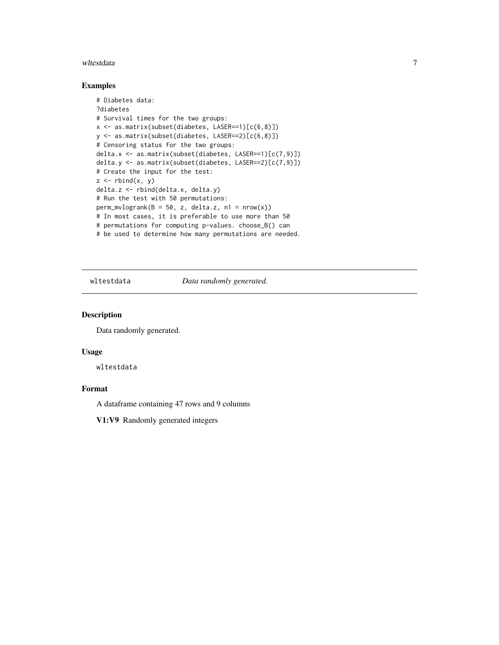#### <span id="page-6-0"></span>wltestdata 7 a  $\sim$  7 and 2008  $\sim$  7 and 2008  $\sim$  7 and 2008  $\sim$  7 and 2008  $\sim$  7 and 2008  $\sim$  7 and 2008  $\sim$  7 and 2008  $\sim$  7 and 2008  $\sim$  7 and 2008  $\sim$  7 and 2008  $\sim$  7 and 2008  $\sim$  7 and 2008  $\sim$  7 and 2008

# Examples

```
# Diabetes data:
?diabetes
# Survival times for the two groups:
x <- as.matrix(subset(diabetes, LASER==1)[c(6,8)])
y <- as.matrix(subset(diabetes, LASER==2)[c(6,8)])
# Censoring status for the two groups:
delta.x <- as.matrix(subset(diabetes, LASER==1)[c(7,9)])
delta.y <- as.matrix(subset(diabetes, LASER==2)[c(7,9)])
# Create the input for the test:
z \leftarrow rbind(x, y)
delta.z <- rbind(delta.x, delta.y)
# Run the test with 50 permutations:
perm_mvlogrank(B = 50, z, delta.z, n1 = nrow(x))
# In most cases, it is preferable to use more than 50
# permutations for computing p-values. choose_B() can
# be used to determine how many permutations are needed.
```
wltestdata *Data randomly generated.*

# Description

Data randomly generated.

# Usage

wltestdata

#### Format

A dataframe containing 47 rows and 9 columns

V1:V9 Randomly generated integers